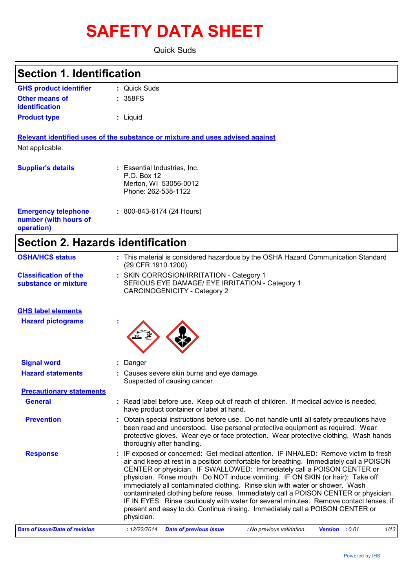# **SAFETY DATA SHEET**

Quick Suds

## **Section 1. Identification**

| <b>GHS product identifier</b> | : Quick Suds |
|-------------------------------|--------------|
| <b>Other means of</b>         | : 358FS      |
| identification                |              |
| <b>Product type</b>           | : Liguid     |

**Relevant identified uses of the substance or mixture and uses advised against** Not applicable.

| <b>Supplier's details</b>                                         | : Essential Industries, Inc.<br>$P.O.$ Box 12<br>Merton, WI 53056-0012<br>Phone: 262-538-1122 |
|-------------------------------------------------------------------|-----------------------------------------------------------------------------------------------|
| <b>Emergency telephone</b><br>number (with hours of<br>operation) | $: 800 - 843 - 6174 (24$ Hours)                                                               |

# **Section 2. Hazards identification**

| <b>OSHA/HCS status</b>                               | : This material is considered hazardous by the OSHA Hazard Communication Standard<br>(29 CFR 1910.1200).                                                                                                                                                                                                                                                                                                                                                                                                                                                                                                                                                                                                   |
|------------------------------------------------------|------------------------------------------------------------------------------------------------------------------------------------------------------------------------------------------------------------------------------------------------------------------------------------------------------------------------------------------------------------------------------------------------------------------------------------------------------------------------------------------------------------------------------------------------------------------------------------------------------------------------------------------------------------------------------------------------------------|
| <b>Classification of the</b><br>substance or mixture | : SKIN CORROSION/IRRITATION - Category 1<br>SERIOUS EYE DAMAGE/ EYE IRRITATION - Category 1<br><b>CARCINOGENICITY - Category 2</b>                                                                                                                                                                                                                                                                                                                                                                                                                                                                                                                                                                         |
| <b>GHS label elements</b>                            |                                                                                                                                                                                                                                                                                                                                                                                                                                                                                                                                                                                                                                                                                                            |
| <b>Hazard pictograms</b>                             |                                                                                                                                                                                                                                                                                                                                                                                                                                                                                                                                                                                                                                                                                                            |
| <b>Signal word</b>                                   | : Danger                                                                                                                                                                                                                                                                                                                                                                                                                                                                                                                                                                                                                                                                                                   |
| <b>Hazard statements</b>                             | : Causes severe skin burns and eye damage.<br>Suspected of causing cancer.                                                                                                                                                                                                                                                                                                                                                                                                                                                                                                                                                                                                                                 |
| <b>Precautionary statements</b>                      |                                                                                                                                                                                                                                                                                                                                                                                                                                                                                                                                                                                                                                                                                                            |
| <b>General</b>                                       | : Read label before use. Keep out of reach of children. If medical advice is needed,<br>have product container or label at hand.                                                                                                                                                                                                                                                                                                                                                                                                                                                                                                                                                                           |
| <b>Prevention</b>                                    | : Obtain special instructions before use. Do not handle until all safety precautions have<br>been read and understood. Use personal protective equipment as required. Wear<br>protective gloves. Wear eye or face protection. Wear protective clothing. Wash hands<br>thoroughly after handling.                                                                                                                                                                                                                                                                                                                                                                                                           |
| <b>Response</b>                                      | : IF exposed or concerned: Get medical attention. IF INHALED: Remove victim to fresh<br>air and keep at rest in a position comfortable for breathing. Immediately call a POISON<br>CENTER or physician. IF SWALLOWED: Immediately call a POISON CENTER or<br>physician. Rinse mouth. Do NOT induce vomiting. IF ON SKIN (or hair): Take off<br>immediately all contaminated clothing. Rinse skin with water or shower. Wash<br>contaminated clothing before reuse. Immediately call a POISON CENTER or physician.<br>IF IN EYES: Rinse cautiously with water for several minutes. Remove contact lenses, if<br>present and easy to do. Continue rinsing. Immediately call a POISON CENTER or<br>physician. |
| <b>Date of issue/Date of revision</b>                | 1/13<br>: 12/22/2014. Date of previous issue<br>: No previous validation.<br><b>Version</b> : 0.01                                                                                                                                                                                                                                                                                                                                                                                                                                                                                                                                                                                                         |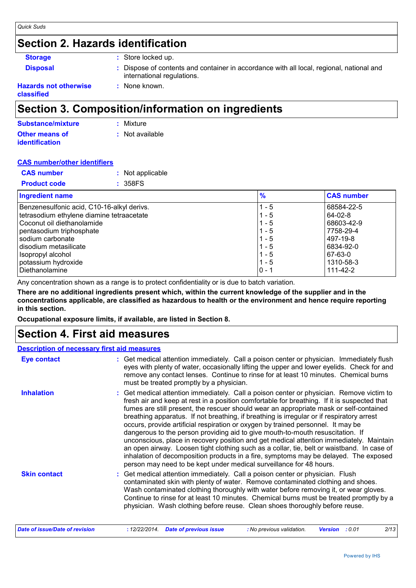## **Section 2. Hazards identification**

| <b>Storage</b>  |
|-----------------|
| <b>Disnosal</b> |

**:** Store locked up.

**:** None known.

**Disposal 1993 :** Dispose of contents and container in accordance with all local, regional, national and international regulations.

#### **Hazards not otherwise classified**

## **Section 3. Composition/information on ingredients**

| Substance/mixture     | : Mixture       |
|-----------------------|-----------------|
| <b>Other means of</b> | : Not available |
| <i>identification</i> |                 |

## **CAS number/other identifiers**

| <b>CAS number</b>   | : Not applicable |
|---------------------|------------------|
| <b>Product code</b> | : 358FS          |

| <b>Ingredient name</b>                     | $\frac{9}{6}$ | <b>CAS number</b> |
|--------------------------------------------|---------------|-------------------|
| Benzenesulfonic acid, C10-16-alkyl derivs. | - 5           | 68584-22-5        |
| tetrasodium ethylene diamine tetraacetate  | $1 - 5$       | 64-02-8           |
| Coconut oil diethanolamide                 | $1 - 5$       | 68603-42-9        |
| pentasodium triphosphate                   | $1 - 5$       | 7758-29-4         |
| sodium carbonate                           | $1 - 5$       | 497-19-8          |
| I disodium metasilicate                    | $1 - 5$       | 6834-92-0         |
| Isopropyl alcohol                          | $1 - 5$       | 67-63-0           |
| potassium hydroxide                        | $1 - 5$       | 1310-58-3         |
| l Diethanolamine                           | $0 - 1$       | 111-42-2          |

Any concentration shown as a range is to protect confidentiality or is due to batch variation.

**There are no additional ingredients present which, within the current knowledge of the supplier and in the concentrations applicable, are classified as hazardous to health or the environment and hence require reporting in this section.**

**Occupational exposure limits, if available, are listed in Section 8.**

## **Section 4. First aid measures**

### **Description of necessary first aid measures**

| <b>Eye contact</b>  | : Get medical attention immediately. Call a poison center or physician. Immediately flush<br>eyes with plenty of water, occasionally lifting the upper and lower eyelids. Check for and<br>remove any contact lenses. Continue to rinse for at least 10 minutes. Chemical burns<br>must be treated promptly by a physician.                                                                                                                                                                                                                                                                                                                                                                                                                                                                                                                                                                                  |
|---------------------|--------------------------------------------------------------------------------------------------------------------------------------------------------------------------------------------------------------------------------------------------------------------------------------------------------------------------------------------------------------------------------------------------------------------------------------------------------------------------------------------------------------------------------------------------------------------------------------------------------------------------------------------------------------------------------------------------------------------------------------------------------------------------------------------------------------------------------------------------------------------------------------------------------------|
| <b>Inhalation</b>   | : Get medical attention immediately. Call a poison center or physician. Remove victim to<br>fresh air and keep at rest in a position comfortable for breathing. If it is suspected that<br>fumes are still present, the rescuer should wear an appropriate mask or self-contained<br>breathing apparatus. If not breathing, if breathing is irregular or if respiratory arrest<br>occurs, provide artificial respiration or oxygen by trained personnel. It may be<br>dangerous to the person providing aid to give mouth-to-mouth resuscitation. If<br>unconscious, place in recovery position and get medical attention immediately. Maintain<br>an open airway. Loosen tight clothing such as a collar, tie, belt or waistband. In case of<br>inhalation of decomposition products in a fire, symptoms may be delayed. The exposed<br>person may need to be kept under medical surveillance for 48 hours. |
| <b>Skin contact</b> | : Get medical attention immediately. Call a poison center or physician. Flush<br>contaminated skin with plenty of water. Remove contaminated clothing and shoes.<br>Wash contaminated clothing thoroughly with water before removing it, or wear gloves.<br>Continue to rinse for at least 10 minutes. Chemical burns must be treated promptly by a<br>physician. Wash clothing before reuse. Clean shoes thoroughly before reuse.                                                                                                                                                                                                                                                                                                                                                                                                                                                                           |

*Date of issue/Date of revision* **:** *12/22/2014. Date of previous issue : No previous validation. Version : 0.01 2/13*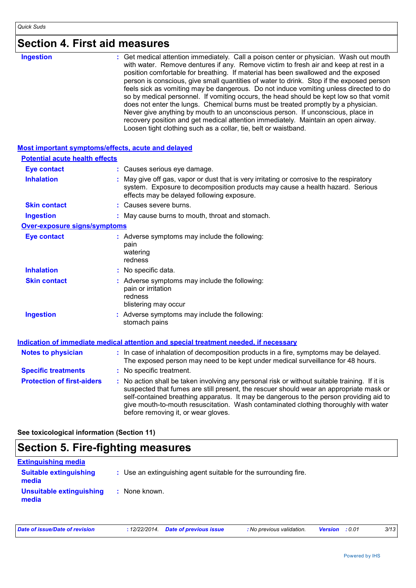| <b>Section 4. First aid measures</b> |  |
|--------------------------------------|--|
|--------------------------------------|--|

| <b>Ingestion</b> | : Get medical attention immediately. Call a poison center or physician. Wash out mouth<br>with water. Remove dentures if any. Remove victim to fresh air and keep at rest in a<br>position comfortable for breathing. If material has been swallowed and the exposed<br>person is conscious, give small quantities of water to drink. Stop if the exposed person<br>feels sick as vomiting may be dangerous. Do not induce vomiting unless directed to do<br>so by medical personnel. If vomiting occurs, the head should be kept low so that vomit<br>does not enter the lungs. Chemical burns must be treated promptly by a physician.<br>Never give anything by mouth to an unconscious person. If unconscious, place in<br>recovery position and get medical attention immediately. Maintain an open airway.<br>Loosen tight clothing such as a collar, tie, belt or waistband. |
|------------------|-------------------------------------------------------------------------------------------------------------------------------------------------------------------------------------------------------------------------------------------------------------------------------------------------------------------------------------------------------------------------------------------------------------------------------------------------------------------------------------------------------------------------------------------------------------------------------------------------------------------------------------------------------------------------------------------------------------------------------------------------------------------------------------------------------------------------------------------------------------------------------------|
|------------------|-------------------------------------------------------------------------------------------------------------------------------------------------------------------------------------------------------------------------------------------------------------------------------------------------------------------------------------------------------------------------------------------------------------------------------------------------------------------------------------------------------------------------------------------------------------------------------------------------------------------------------------------------------------------------------------------------------------------------------------------------------------------------------------------------------------------------------------------------------------------------------------|

| Most important symptoms/effects, acute and delayed |                                                                                                                                                                                                                                                                                                                                                                                                                 |
|----------------------------------------------------|-----------------------------------------------------------------------------------------------------------------------------------------------------------------------------------------------------------------------------------------------------------------------------------------------------------------------------------------------------------------------------------------------------------------|
| <b>Potential acute health effects</b>              |                                                                                                                                                                                                                                                                                                                                                                                                                 |
| <b>Eye contact</b>                                 | : Causes serious eye damage.                                                                                                                                                                                                                                                                                                                                                                                    |
| <b>Inhalation</b>                                  | : May give off gas, vapor or dust that is very irritating or corrosive to the respiratory<br>system. Exposure to decomposition products may cause a health hazard. Serious<br>effects may be delayed following exposure.                                                                                                                                                                                        |
| <b>Skin contact</b>                                | : Causes severe burns.                                                                                                                                                                                                                                                                                                                                                                                          |
| <b>Ingestion</b>                                   | : May cause burns to mouth, throat and stomach.                                                                                                                                                                                                                                                                                                                                                                 |
| <b>Over-exposure signs/symptoms</b>                |                                                                                                                                                                                                                                                                                                                                                                                                                 |
| <b>Eye contact</b>                                 | : Adverse symptoms may include the following:<br>pain<br>watering<br>redness                                                                                                                                                                                                                                                                                                                                    |
| <b>Inhalation</b>                                  | : No specific data.                                                                                                                                                                                                                                                                                                                                                                                             |
| <b>Skin contact</b>                                | : Adverse symptoms may include the following:<br>pain or irritation<br>redness<br>blistering may occur                                                                                                                                                                                                                                                                                                          |
| <b>Ingestion</b>                                   | : Adverse symptoms may include the following:<br>stomach pains                                                                                                                                                                                                                                                                                                                                                  |
|                                                    | Indication of immediate medical attention and special treatment needed, if necessary                                                                                                                                                                                                                                                                                                                            |
| <b>Notes to physician</b>                          | : In case of inhalation of decomposition products in a fire, symptoms may be delayed.<br>The exposed person may need to be kept under medical surveillance for 48 hours.                                                                                                                                                                                                                                        |
| <b>Specific treatments</b>                         | : No specific treatment.                                                                                                                                                                                                                                                                                                                                                                                        |
| <b>Protection of first-aiders</b>                  | : No action shall be taken involving any personal risk or without suitable training. If it is<br>suspected that fumes are still present, the rescuer should wear an appropriate mask or<br>self-contained breathing apparatus. It may be dangerous to the person providing aid to<br>give mouth-to-mouth resuscitation. Wash contaminated clothing thoroughly with water<br>before removing it, or wear gloves. |

**See toxicological information (Section 11)**

## **Section 5. Fire-fighting measures**

| <b>Extinguishing media</b>             |                                                                 |
|----------------------------------------|-----------------------------------------------------------------|
| <b>Suitable extinguishing</b><br>media | : Use an extinguishing agent suitable for the surrounding fire. |
| Unsuitable extinguishing<br>media      | : None known.                                                   |

*Date of issue/Date of revision* **:** *12/22/2014. Date of previous issue : No previous validation. Version : 0.01 3/13*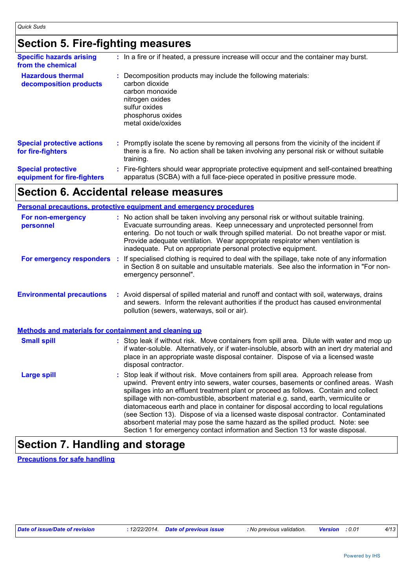# **Section 5. Fire-fighting measures**

| <b>Specific hazards arising</b><br>from the chemical     | : In a fire or if heated, a pressure increase will occur and the container may burst.                                                                                                               |
|----------------------------------------------------------|-----------------------------------------------------------------------------------------------------------------------------------------------------------------------------------------------------|
| <b>Hazardous thermal</b><br>decomposition products       | : Decomposition products may include the following materials:<br>carbon dioxide<br>carbon monoxide<br>nitrogen oxides<br>sulfur oxides<br>phosphorus oxides<br>metal oxide/oxides                   |
| <b>Special protective actions</b><br>for fire-fighters   | : Promptly isolate the scene by removing all persons from the vicinity of the incident if<br>there is a fire. No action shall be taken involving any personal risk or without suitable<br>training. |
| <b>Special protective</b><br>equipment for fire-fighters | Fire-fighters should wear appropriate protective equipment and self-contained breathing<br>apparatus (SCBA) with a full face-piece operated in positive pressure mode.                              |

## **Section 6. Accidental release measures**

|                                                              | <b>Personal precautions, protective equipment and emergency procedures</b>                                                                                                                                                                                                                                                                                                                                                                                                                                                                                                                                                                                                                                   |
|--------------------------------------------------------------|--------------------------------------------------------------------------------------------------------------------------------------------------------------------------------------------------------------------------------------------------------------------------------------------------------------------------------------------------------------------------------------------------------------------------------------------------------------------------------------------------------------------------------------------------------------------------------------------------------------------------------------------------------------------------------------------------------------|
| For non-emergency<br>personnel                               | : No action shall be taken involving any personal risk or without suitable training.<br>Evacuate surrounding areas. Keep unnecessary and unprotected personnel from<br>entering. Do not touch or walk through spilled material. Do not breathe vapor or mist.<br>Provide adequate ventilation. Wear appropriate respirator when ventilation is<br>inadequate. Put on appropriate personal protective equipment.                                                                                                                                                                                                                                                                                              |
| For emergency responders                                     | : If specialised clothing is required to deal with the spillage, take note of any information<br>in Section 8 on suitable and unsuitable materials. See also the information in "For non-<br>emergency personnel".                                                                                                                                                                                                                                                                                                                                                                                                                                                                                           |
| <b>Environmental precautions</b>                             | : Avoid dispersal of spilled material and runoff and contact with soil, waterways, drains<br>and sewers. Inform the relevant authorities if the product has caused environmental<br>pollution (sewers, waterways, soil or air).                                                                                                                                                                                                                                                                                                                                                                                                                                                                              |
| <b>Methods and materials for containment and cleaning up</b> |                                                                                                                                                                                                                                                                                                                                                                                                                                                                                                                                                                                                                                                                                                              |
| <b>Small spill</b>                                           | : Stop leak if without risk. Move containers from spill area. Dilute with water and mop up<br>if water-soluble. Alternatively, or if water-insoluble, absorb with an inert dry material and<br>place in an appropriate waste disposal container. Dispose of via a licensed waste<br>disposal contractor.                                                                                                                                                                                                                                                                                                                                                                                                     |
| <b>Large spill</b>                                           | : Stop leak if without risk. Move containers from spill area. Approach release from<br>upwind. Prevent entry into sewers, water courses, basements or confined areas. Wash<br>spillages into an effluent treatment plant or proceed as follows. Contain and collect<br>spillage with non-combustible, absorbent material e.g. sand, earth, vermiculite or<br>diatomaceous earth and place in container for disposal according to local regulations<br>(see Section 13). Dispose of via a licensed waste disposal contractor. Contaminated<br>absorbent material may pose the same hazard as the spilled product. Note: see<br>Section 1 for emergency contact information and Section 13 for waste disposal. |

# **Section 7. Handling and storage**

**Precautions for safe handling**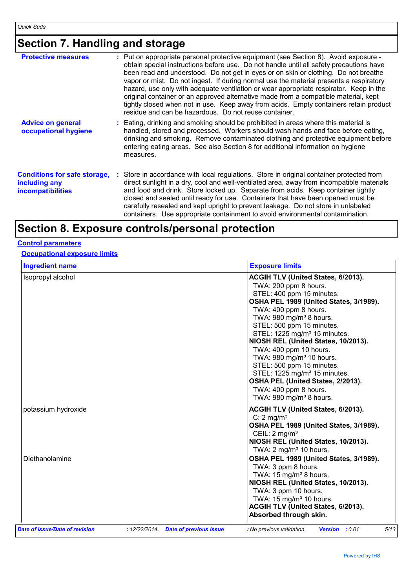# **Section 7. Handling and storage**

| <b>Protective measures</b>                                                       | : Put on appropriate personal protective equipment (see Section 8). Avoid exposure -<br>obtain special instructions before use. Do not handle until all safety precautions have<br>been read and understood. Do not get in eyes or on skin or clothing. Do not breathe<br>vapor or mist. Do not ingest. If during normal use the material presents a respiratory<br>hazard, use only with adequate ventilation or wear appropriate respirator. Keep in the<br>original container or an approved alternative made from a compatible material, kept<br>tightly closed when not in use. Keep away from acids. Empty containers retain product<br>residue and can be hazardous. Do not reuse container. |
|----------------------------------------------------------------------------------|-----------------------------------------------------------------------------------------------------------------------------------------------------------------------------------------------------------------------------------------------------------------------------------------------------------------------------------------------------------------------------------------------------------------------------------------------------------------------------------------------------------------------------------------------------------------------------------------------------------------------------------------------------------------------------------------------------|
| <b>Advice on general</b><br>occupational hygiene                                 | : Eating, drinking and smoking should be prohibited in areas where this material is<br>handled, stored and processed. Workers should wash hands and face before eating,<br>drinking and smoking. Remove contaminated clothing and protective equipment before<br>entering eating areas. See also Section 8 for additional information on hygiene<br>measures.                                                                                                                                                                                                                                                                                                                                       |
| <b>Conditions for safe storage,</b><br>including any<br><b>incompatibilities</b> | : Store in accordance with local regulations. Store in original container protected from<br>direct sunlight in a dry, cool and well-ventilated area, away from incompatible materials<br>and food and drink. Store locked up. Separate from acids. Keep container tightly<br>closed and sealed until ready for use. Containers that have been opened must be<br>carefully resealed and kept upright to prevent leakage. Do not store in unlabeled<br>containers. Use appropriate containment to avoid environmental contamination.                                                                                                                                                                  |

# **Section 8. Exposure controls/personal protection**

## **Control parameters**

### **Occupational exposure limits**

| <b>Ingredient name</b>         |                                      | <b>Exposure limits</b>                                                                                                                                                                                                                                                                                                                                                                                                                                                                                                                                             |
|--------------------------------|--------------------------------------|--------------------------------------------------------------------------------------------------------------------------------------------------------------------------------------------------------------------------------------------------------------------------------------------------------------------------------------------------------------------------------------------------------------------------------------------------------------------------------------------------------------------------------------------------------------------|
| Isopropyl alcohol              |                                      | ACGIH TLV (United States, 6/2013).<br>TWA: 200 ppm 8 hours.<br>STEL: 400 ppm 15 minutes.<br>OSHA PEL 1989 (United States, 3/1989).<br>TWA: 400 ppm 8 hours.<br>TWA: 980 mg/m <sup>3</sup> 8 hours.<br>STEL: 500 ppm 15 minutes.<br>STEL: 1225 mg/m <sup>3</sup> 15 minutes.<br>NIOSH REL (United States, 10/2013).<br>TWA: 400 ppm 10 hours.<br>TWA: 980 mg/m <sup>3</sup> 10 hours.<br>STEL: 500 ppm 15 minutes.<br>STEL: 1225 mg/m <sup>3</sup> 15 minutes.<br>OSHA PEL (United States, 2/2013).<br>TWA: 400 ppm 8 hours.<br>TWA: 980 mg/m <sup>3</sup> 8 hours. |
| potassium hydroxide            |                                      | <b>ACGIH TLV (United States, 6/2013).</b><br>C: $2 \text{ mg/m}^3$<br>OSHA PEL 1989 (United States, 3/1989).<br>CEIL: $2 \text{ mg/m}^3$<br>NIOSH REL (United States, 10/2013).<br>TWA: 2 mg/m <sup>3</sup> 10 hours.                                                                                                                                                                                                                                                                                                                                              |
| Diethanolamine                 |                                      | OSHA PEL 1989 (United States, 3/1989).<br>TWA: 3 ppm 8 hours.<br>TWA: 15 mg/m <sup>3</sup> 8 hours.<br>NIOSH REL (United States, 10/2013).<br>TWA: 3 ppm 10 hours.<br>TWA: $15 \text{ mg/m}^3$ 10 hours.<br>ACGIH TLV (United States, 6/2013).<br>Absorbed through skin.                                                                                                                                                                                                                                                                                           |
| Date of issue/Date of revision | : 12/22/2014. Date of previous issue | 5/13<br><b>Version</b> : 0.01<br>: No previous validation.                                                                                                                                                                                                                                                                                                                                                                                                                                                                                                         |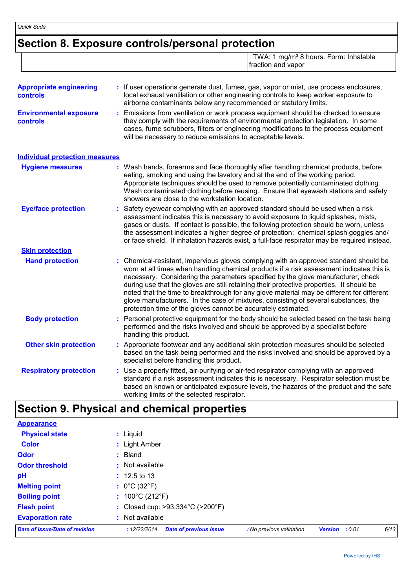# **Section 8. Exposure controls/personal protection**

TWA: 1 mg/m<sup>3</sup> 8 hours. Form: Inhalable fraction and vapor

| <b>Appropriate engineering</b><br>controls | : If user operations generate dust, fumes, gas, vapor or mist, use process enclosures,<br>local exhaust ventilation or other engineering controls to keep worker exposure to<br>airborne contaminants below any recommended or statutory limits.                                                                                                                                                                                                                                                                                                                                                                       |
|--------------------------------------------|------------------------------------------------------------------------------------------------------------------------------------------------------------------------------------------------------------------------------------------------------------------------------------------------------------------------------------------------------------------------------------------------------------------------------------------------------------------------------------------------------------------------------------------------------------------------------------------------------------------------|
| <b>Environmental exposure</b><br>controls  | Emissions from ventilation or work process equipment should be checked to ensure<br>they comply with the requirements of environmental protection legislation. In some<br>cases, fume scrubbers, filters or engineering modifications to the process equipment<br>will be necessary to reduce emissions to acceptable levels.                                                                                                                                                                                                                                                                                          |
| <b>Individual protection measures</b>      |                                                                                                                                                                                                                                                                                                                                                                                                                                                                                                                                                                                                                        |
| <b>Hygiene measures</b>                    | Wash hands, forearms and face thoroughly after handling chemical products, before<br>eating, smoking and using the lavatory and at the end of the working period.<br>Appropriate techniques should be used to remove potentially contaminated clothing.<br>Wash contaminated clothing before reusing. Ensure that eyewash stations and safety<br>showers are close to the workstation location.                                                                                                                                                                                                                        |
| <b>Eye/face protection</b>                 | : Safety eyewear complying with an approved standard should be used when a risk<br>assessment indicates this is necessary to avoid exposure to liquid splashes, mists,<br>gases or dusts. If contact is possible, the following protection should be worn, unless<br>the assessment indicates a higher degree of protection: chemical splash goggles and/<br>or face shield. If inhalation hazards exist, a full-face respirator may be required instead.                                                                                                                                                              |
| <b>Skin protection</b>                     |                                                                                                                                                                                                                                                                                                                                                                                                                                                                                                                                                                                                                        |
| <b>Hand protection</b>                     | : Chemical-resistant, impervious gloves complying with an approved standard should be<br>worn at all times when handling chemical products if a risk assessment indicates this is<br>necessary. Considering the parameters specified by the glove manufacturer, check<br>during use that the gloves are still retaining their protective properties. It should be<br>noted that the time to breakthrough for any glove material may be different for different<br>glove manufacturers. In the case of mixtures, consisting of several substances, the<br>protection time of the gloves cannot be accurately estimated. |
| <b>Body protection</b>                     | Personal protective equipment for the body should be selected based on the task being<br>performed and the risks involved and should be approved by a specialist before<br>handling this product.                                                                                                                                                                                                                                                                                                                                                                                                                      |
| <b>Other skin protection</b>               | : Appropriate footwear and any additional skin protection measures should be selected<br>based on the task being performed and the risks involved and should be approved by a<br>specialist before handling this product.                                                                                                                                                                                                                                                                                                                                                                                              |
| <b>Respiratory protection</b>              | : Use a properly fitted, air-purifying or air-fed respirator complying with an approved<br>standard if a risk assessment indicates this is necessary. Respirator selection must be<br>based on known or anticipated exposure levels, the hazards of the product and the safe<br>working limits of the selected respirator.                                                                                                                                                                                                                                                                                             |

# **Section 9. Physical and chemical properties**

| <b>Appearance</b>              |                                                                                                                 |
|--------------------------------|-----------------------------------------------------------------------------------------------------------------|
| <b>Physical state</b>          | : Liquid                                                                                                        |
| <b>Color</b>                   | : Light Amber                                                                                                   |
| <b>Odor</b>                    | $:$ Bland                                                                                                       |
| <b>Odor threshold</b>          | : Not available                                                                                                 |
| pH                             | $: 12.5 \text{ to } 13$                                                                                         |
| <b>Melting point</b>           | : $0^{\circ}$ C (32 $^{\circ}$ F)                                                                               |
| <b>Boiling point</b>           | : $100^{\circ}$ C (212 $^{\circ}$ F)                                                                            |
| <b>Flash point</b>             | : Closed cup: >93.334°C (>200°F)                                                                                |
| <b>Evaporation rate</b>        | : Not available                                                                                                 |
| Date of issue/Date of revision | 6/13<br><b>Date of previous issue</b><br>: No previous validation.<br>: 12/22/2014.<br><b>Version</b><br>: 0.01 |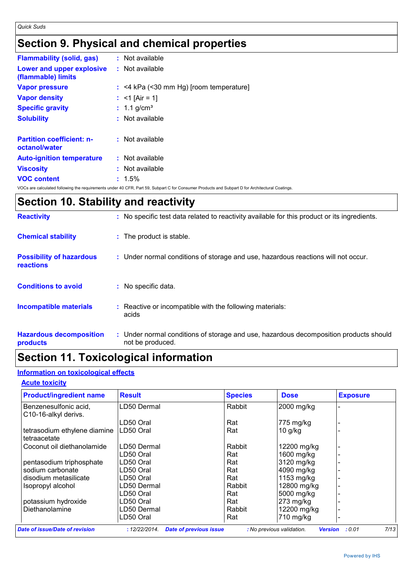# **Section 9. Physical and chemical properties**

| <b>Flammability (solid, gas)</b>                  | : Not available                           |
|---------------------------------------------------|-------------------------------------------|
| Lower and upper explosive<br>(flammable) limits   | $:$ Not available                         |
| <b>Vapor pressure</b>                             | $:$ <4 kPa (<30 mm Hg) [room temperature] |
| <b>Vapor density</b>                              | : $<$ 1 [Air = 1]                         |
| <b>Specific gravity</b>                           | : $1.1$ g/cm <sup>3</sup>                 |
| <b>Solubility</b>                                 | : Not available                           |
| <b>Partition coefficient: n-</b><br>octanol/water | $:$ Not available                         |
| <b>Auto-ignition temperature</b>                  | : Not available                           |
| <b>Viscosity</b>                                  | : Not available                           |
| <b>VOC content</b>                                | $: 1.5\%$                                 |

VOCs are calculated following the requirements under 40 CFR, Part 59, Subpart C for Consumer Products and Subpart D for Architectural Coatings.

# **Section 10. Stability and reactivity**

| <b>Reactivity</b>                                   | : No specific test data related to reactivity available for this product or its ingredients.              |
|-----------------------------------------------------|-----------------------------------------------------------------------------------------------------------|
| <b>Chemical stability</b>                           | : The product is stable.                                                                                  |
| <b>Possibility of hazardous</b><br><b>reactions</b> | : Under normal conditions of storage and use, hazardous reactions will not occur.                         |
| <b>Conditions to avoid</b>                          | : No specific data.                                                                                       |
| <b>Incompatible materials</b>                       | : Reactive or incompatible with the following materials:<br>acids                                         |
| <b>Hazardous decomposition</b><br>products          | : Under normal conditions of storage and use, hazardous decomposition products should<br>not be produced. |

# **Section 11. Toxicological information**

## **Information on toxicological effects**

### **Acute toxicity**

| <b>Product/ingredient name</b>                | <b>Result</b>         |                               | <b>Species</b> | <b>Dose</b>               | <b>Exposure</b>          |      |
|-----------------------------------------------|-----------------------|-------------------------------|----------------|---------------------------|--------------------------|------|
| Benzenesulfonic acid,<br>C10-16-alkyl derivs. | LD50 Dermal           |                               | Rabbit         | 2000 mg/kg                |                          |      |
|                                               | <sub>-</sub> D50 Oral |                               | Rat            | 775 mg/kg                 |                          |      |
| tetrasodium ethylene diamine<br>tetraacetate  | LD50 Oral             |                               | Rat            | $10$ g/kg                 |                          |      |
| Coconut oil diethanolamide                    | LD50 Dermal           |                               | Rabbit         | 12200 mg/kg               |                          |      |
|                                               | LD50 Oral             |                               | Rat            | 1600 mg/kg                |                          |      |
| pentasodium triphosphate                      | LD50 Oral             |                               | Rat            | 3120 mg/kg                |                          |      |
| sodium carbonate                              | <sub>-</sub> D50 Oral |                               | Rat            | 4090 mg/kg                |                          |      |
| disodium metasilicate                         | <sub>-</sub> D50 Oral |                               | Rat            | 1153 mg/kg                |                          |      |
| Isopropyl alcohol                             | .D50 Dermal           |                               | Rabbit         | 12800 mg/kg               |                          |      |
|                                               | <sub>-</sub> D50 Oral |                               | Rat            | 5000 mg/kg                |                          |      |
| potassium hydroxide                           | <sub>-</sub> D50 Oral |                               | Rat            | $273$ mg/kg               |                          |      |
| Diethanolamine                                | .D50 Dermal           |                               | Rabbit         | 12200 mg/kg               |                          |      |
|                                               | <sub>-</sub> D50 Oral |                               | Rat            | 710 mg/kg                 |                          |      |
| <b>Date of issue/Date of revision</b>         | : 12/22/2014.         | <b>Date of previous issue</b> |                | : No previous validation. | <b>Version</b><br>: 0.01 | 7/13 |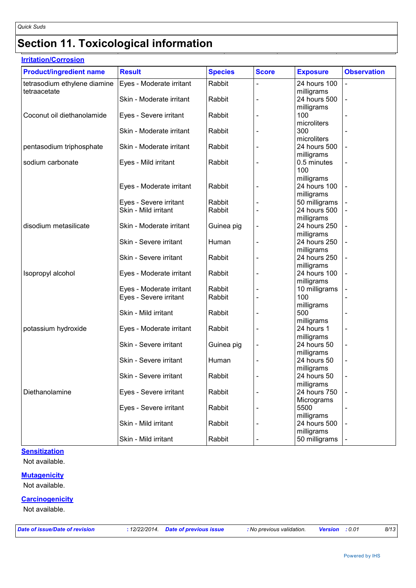# **Section 11. Toxicological information**

| <b>Irritation/Corrosion</b>    |                          |                |              |                 |                          |  |
|--------------------------------|--------------------------|----------------|--------------|-----------------|--------------------------|--|
| <b>Product/ingredient name</b> | <b>Result</b>            | <b>Species</b> | <b>Score</b> | <b>Exposure</b> | <b>Observation</b>       |  |
| tetrasodium ethylene diamine   | Eyes - Moderate irritant | Rabbit         |              | 24 hours 100    |                          |  |
| tetraacetate                   |                          |                |              | milligrams      |                          |  |
|                                | Skin - Moderate irritant | Rabbit         |              | 24 hours 500    |                          |  |
|                                |                          |                |              | milligrams      |                          |  |
| Coconut oil diethanolamide     | Eyes - Severe irritant   | Rabbit         |              | 100             |                          |  |
|                                |                          |                |              | microliters     |                          |  |
|                                | Skin - Moderate irritant | Rabbit         |              | 300             |                          |  |
|                                |                          |                |              | microliters     |                          |  |
| pentasodium triphosphate       | Skin - Moderate irritant | Rabbit         |              | 24 hours 500    |                          |  |
|                                |                          |                |              | milligrams      |                          |  |
| sodium carbonate               | Eyes - Mild irritant     | Rabbit         |              | 0.5 minutes     |                          |  |
|                                |                          |                |              | 100             |                          |  |
|                                |                          |                |              | milligrams      |                          |  |
|                                | Eyes - Moderate irritant | Rabbit         |              | 24 hours 100    |                          |  |
|                                |                          |                |              | milligrams      |                          |  |
|                                |                          |                |              |                 |                          |  |
|                                | Eyes - Severe irritant   | Rabbit         |              | 50 milligrams   |                          |  |
|                                | Skin - Mild irritant     | Rabbit         |              | 24 hours 500    |                          |  |
|                                |                          |                |              | milligrams      |                          |  |
| disodium metasilicate          | Skin - Moderate irritant | Guinea pig     |              | 24 hours 250    |                          |  |
|                                |                          |                |              | milligrams      |                          |  |
|                                | Skin - Severe irritant   | Human          |              | 24 hours 250    |                          |  |
|                                |                          |                |              | milligrams      |                          |  |
|                                | Skin - Severe irritant   | Rabbit         |              | 24 hours 250    |                          |  |
|                                |                          |                |              | milligrams      |                          |  |
| Isopropyl alcohol              | Eyes - Moderate irritant | Rabbit         |              | 24 hours 100    |                          |  |
|                                |                          |                |              | milligrams      |                          |  |
|                                | Eyes - Moderate irritant | Rabbit         |              | 10 milligrams   |                          |  |
|                                | Eyes - Severe irritant   | Rabbit         |              | 100             |                          |  |
|                                |                          |                |              | milligrams      |                          |  |
|                                | Skin - Mild irritant     | Rabbit         |              | 500             |                          |  |
|                                |                          |                |              | milligrams      |                          |  |
| potassium hydroxide            | Eyes - Moderate irritant | Rabbit         |              | 24 hours 1      |                          |  |
|                                |                          |                |              | milligrams      |                          |  |
|                                | Skin - Severe irritant   | Guinea pig     |              | 24 hours 50     |                          |  |
|                                |                          |                |              | milligrams      |                          |  |
|                                | Skin - Severe irritant   | Human          |              | 24 hours 50     | $\overline{\phantom{0}}$ |  |
|                                |                          |                |              | milligrams      |                          |  |
|                                | Skin - Severe irritant   | Rabbit         |              | 24 hours 50     |                          |  |
|                                |                          |                |              | milligrams      |                          |  |
| Diethanolamine                 |                          |                |              | 24 hours 750    |                          |  |
|                                | Eyes - Severe irritant   | Rabbit         |              |                 |                          |  |
|                                |                          |                |              | Micrograms      |                          |  |
|                                | Eyes - Severe irritant   | Rabbit         |              | 5500            |                          |  |
|                                |                          |                |              | milligrams      |                          |  |
|                                | Skin - Mild irritant     | Rabbit         |              | 24 hours 500    |                          |  |
|                                |                          |                |              | milligrams      |                          |  |
|                                | Skin - Mild irritant     | Rabbit         |              | 50 milligrams   |                          |  |

## **Sensitization**

Not available.

#### **Mutagenicity**

Not available.

### **Carcinogenicity**

Not available.

*Date of issue/Date of revision* **:** *12/22/2014. Date of previous issue : No previous validation. Version : 0.01 8/13*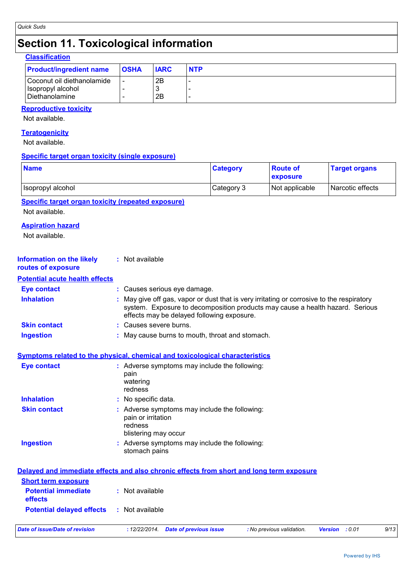# **Section 11. Toxicological information**

| <b>Classification</b>                                             |                          |             |            |
|-------------------------------------------------------------------|--------------------------|-------------|------------|
| <b>Product/ingredient name</b>                                    | <b>OSHA</b>              | <b>IARC</b> | <b>NTP</b> |
| Coconut oil diethanolamide<br>Isopropyl alcohol<br>Diethanolamine | $\overline{\phantom{0}}$ | 2B<br>2Β    |            |

## **Reproductive toxicity**

Not available.

#### **Teratogenicity**

Not available.

#### **Specific target organ toxicity (single exposure)**

| <b>Name</b>                                                                              |                                                       | <b>Category</b>                                                                                                                                                                                                        | <b>Route of</b><br>exposure | <b>Target organs</b>             |  |  |
|------------------------------------------------------------------------------------------|-------------------------------------------------------|------------------------------------------------------------------------------------------------------------------------------------------------------------------------------------------------------------------------|-----------------------------|----------------------------------|--|--|
| Isopropyl alcohol                                                                        |                                                       | Category 3                                                                                                                                                                                                             | Not applicable              | Narcotic effects                 |  |  |
| <b>Specific target organ toxicity (repeated exposure)</b>                                |                                                       |                                                                                                                                                                                                                        |                             |                                  |  |  |
| Not available.                                                                           |                                                       |                                                                                                                                                                                                                        |                             |                                  |  |  |
| <b>Aspiration hazard</b>                                                                 |                                                       |                                                                                                                                                                                                                        |                             |                                  |  |  |
| Not available.                                                                           |                                                       |                                                                                                                                                                                                                        |                             |                                  |  |  |
| <b>Information on the likely</b><br>routes of exposure                                   | : Not available                                       |                                                                                                                                                                                                                        |                             |                                  |  |  |
| <b>Potential acute health effects</b>                                                    |                                                       |                                                                                                                                                                                                                        |                             |                                  |  |  |
| <b>Eye contact</b>                                                                       | : Causes serious eye damage.                          |                                                                                                                                                                                                                        |                             |                                  |  |  |
| <b>Inhalation</b>                                                                        |                                                       | May give off gas, vapor or dust that is very irritating or corrosive to the respiratory<br>system. Exposure to decomposition products may cause a health hazard. Serious<br>effects may be delayed following exposure. |                             |                                  |  |  |
| <b>Skin contact</b>                                                                      | Causes severe burns.                                  |                                                                                                                                                                                                                        |                             |                                  |  |  |
| <b>Ingestion</b>                                                                         | May cause burns to mouth, throat and stomach.         |                                                                                                                                                                                                                        |                             |                                  |  |  |
| <b>Symptoms related to the physical, chemical and toxicological characteristics</b>      |                                                       |                                                                                                                                                                                                                        |                             |                                  |  |  |
| <b>Eye contact</b>                                                                       | pain<br>watering<br>redness                           | : Adverse symptoms may include the following:                                                                                                                                                                          |                             |                                  |  |  |
| <b>Inhalation</b>                                                                        | No specific data.                                     |                                                                                                                                                                                                                        |                             |                                  |  |  |
| <b>Skin contact</b>                                                                      | pain or irritation<br>redness<br>blistering may occur | Adverse symptoms may include the following:                                                                                                                                                                            |                             |                                  |  |  |
| <b>Ingestion</b>                                                                         | stomach pains                                         | Adverse symptoms may include the following:                                                                                                                                                                            |                             |                                  |  |  |
| Delayed and immediate effects and also chronic effects from short and long term exposure |                                                       |                                                                                                                                                                                                                        |                             |                                  |  |  |
| <b>Short term exposure</b><br><b>Potential immediate</b><br>effects                      | : Not available                                       |                                                                                                                                                                                                                        |                             |                                  |  |  |
| <b>Potential delayed effects</b>                                                         | : Not available                                       |                                                                                                                                                                                                                        |                             |                                  |  |  |
| <b>Date of issue/Date of revision</b>                                                    | : 12/22/2014.                                         | <b>Date of previous issue</b>                                                                                                                                                                                          | : No previous validation.   | <b>Version</b><br>: 0.01<br>9/13 |  |  |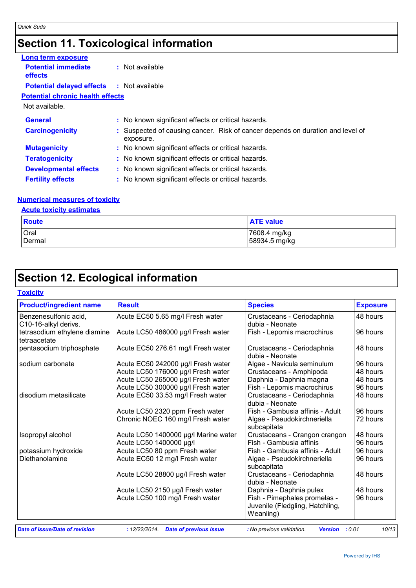## **Section 11. Toxicological information**

| Long term exposure                           |                                                                                             |
|----------------------------------------------|---------------------------------------------------------------------------------------------|
| <b>Potential immediate</b><br><b>effects</b> | $:$ Not available                                                                           |
| <b>Potential delayed effects</b>             | : Not available                                                                             |
| <b>Potential chronic health effects</b>      |                                                                                             |
| Not available.                               |                                                                                             |
| <b>General</b>                               | : No known significant effects or critical hazards.                                         |
| <b>Carcinogenicity</b>                       | : Suspected of causing cancer. Risk of cancer depends on duration and level of<br>exposure. |
| <b>Mutagenicity</b>                          | : No known significant effects or critical hazards.                                         |
| <b>Teratogenicity</b>                        | : No known significant effects or critical hazards.                                         |
| <b>Developmental effects</b>                 | : No known significant effects or critical hazards.                                         |
| <b>Fertility effects</b>                     | : No known significant effects or critical hazards.                                         |

## **Numerical measures of toxicity**

#### **Acute toxicity estimates**

| Route       | <b>ATE value</b> |
|-------------|------------------|
| <b>Oral</b> | 7608.4 mg/kg     |
| Dermal      | 58934.5 mg/kg    |

## **Section 12. Ecological information**

#### **Toxicity** Benzenesulfonic acid, C10-16-alkyl derivs. Acute EC50 5.65 mg/l Fresh water | Crustaceans - Ceriodaphnia dubia - Neonate 48 hours tetrasodium ethylene diamine tetraacetate Acute LC50 486000 µg/l Fresh water Fish - Lepomis macrochirus | 96 hours pentasodium triphosphate | Acute EC50 276.61 mg/l Fresh water | Crustaceans - Ceriodaphnia dubia - Neonate 48 hours sodium carbonate | Acute EC50 242000 µg/l Fresh water | Algae - Navicula seminulum | 96 hours Acute LC50 176000 µg/l Fresh water  $\begin{array}{c} \begin{array}{c} \text{C} \\ \text{C} \text{rustaceans - Amphipoda} \end{array} \\ \text{Acute I C50 265000 uol Fresh water} \end{array}$  Daphnia - Daphnia magna Acute LC50 265000 µg/l Fresh water | Daphnia - Daphnia magna | 48 hours<br>Acute LC50 300000 ug/l Fresh water | Fish - Lepomis macrochirus | 96 hours Acute LC50 300000 µg/l Fresh water Fish - Lepomis macrochirus disodium metasilicate Acute EC50 33.53 mg/l Fresh water Crustaceans - Ceriodaphnia dubia - Neonate 48 hours Acute LC50 2320 ppm Fresh water Fish - Gambusia affinis - Adult 96 hours Chronic NOEC 160 mg/l Fresh water | Algae - Pseudokirchneriella subcapitata 72 hours Isopropyl alcohol Acute LC50 1400000 µg/l Marine water Crustaceans - Crangon crangon 48 hours Acute LC50 1400000 ug/l Fish - Gambusia affinis 96 hours potassium hydroxide | Acute LC50 80 ppm Fresh water | Fish - Gambusia affinis - Adult | 96 hours Diethanolamine Acute EC50 12 mg/l Fresh water Algae - Pseudokirchneriella subcapitata 96 hours Acute LC50 28800 µg/l Fresh water | Crustaceans - Ceriodaphnia dubia - Neonate 48 hours Acute LC50 2150 µg/l Fresh water | Daphnia - Daphnia pulex | 48 hours Acute LC50 100 mg/l Fresh water | Fish - Pimephales promelas -Juvenile (Fledgling, Hatchling, Weanling) 96 hours **Product/ingredient name Result Result Species Exposure**

Powered by IHS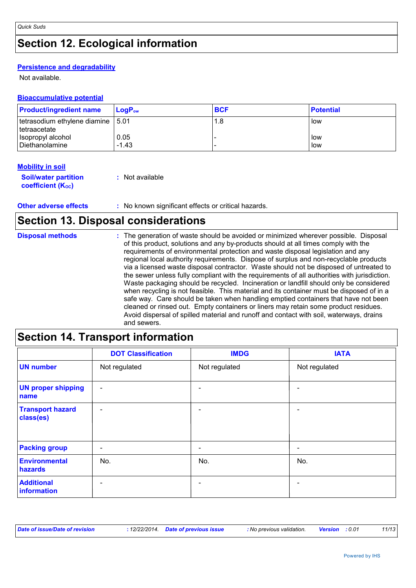# **Section 12. Ecological information**

## **Persistence and degradability**

Not available.

| <b>Bioaccumulative potential</b>    |            |                  |  |  |  |
|-------------------------------------|------------|------------------|--|--|--|
| $LogP_{ow}$                         | <b>BCF</b> | <b>Potential</b> |  |  |  |
| tetrasodium ethylene diamine   5.01 | 1.8        | <b>I</b> low     |  |  |  |
| 0.05<br>$-1.43$                     |            | l low<br>low     |  |  |  |
|                                     |            |                  |  |  |  |

### **Mobility in soil**

| <b>Soil/water partition</b> | : Not available |
|-----------------------------|-----------------|
| <b>coefficient (Koc)</b>    |                 |

### **Other adverse effects** : No known significant effects or critical hazards.

## **Section 13. Disposal considerations**

| <b>Disposal methods</b> | : The generation of waste should be avoided or minimized wherever possible. Disposal<br>of this product, solutions and any by-products should at all times comply with the<br>requirements of environmental protection and waste disposal legislation and any<br>regional local authority requirements. Dispose of surplus and non-recyclable products<br>via a licensed waste disposal contractor. Waste should not be disposed of untreated to<br>the sewer unless fully compliant with the requirements of all authorities with jurisdiction.<br>Waste packaging should be recycled. Incineration or landfill should only be considered<br>when recycling is not feasible. This material and its container must be disposed of in a<br>safe way. Care should be taken when handling emptied containers that have not been<br>cleaned or rinsed out. Empty containers or liners may retain some product residues.<br>Avoid dispersal of spilled material and runoff and contact with soil, waterways, drains<br>and sewers. |
|-------------------------|-------------------------------------------------------------------------------------------------------------------------------------------------------------------------------------------------------------------------------------------------------------------------------------------------------------------------------------------------------------------------------------------------------------------------------------------------------------------------------------------------------------------------------------------------------------------------------------------------------------------------------------------------------------------------------------------------------------------------------------------------------------------------------------------------------------------------------------------------------------------------------------------------------------------------------------------------------------------------------------------------------------------------------|
|-------------------------|-------------------------------------------------------------------------------------------------------------------------------------------------------------------------------------------------------------------------------------------------------------------------------------------------------------------------------------------------------------------------------------------------------------------------------------------------------------------------------------------------------------------------------------------------------------------------------------------------------------------------------------------------------------------------------------------------------------------------------------------------------------------------------------------------------------------------------------------------------------------------------------------------------------------------------------------------------------------------------------------------------------------------------|

# **Section 14. Transport information**

|                                      | <b>DOT Classification</b> | <b>IMDG</b>              | <b>IATA</b>   |
|--------------------------------------|---------------------------|--------------------------|---------------|
| <b>UN number</b>                     | Not regulated             | Not regulated            | Not regulated |
| <b>UN proper shipping</b><br>name    | $\overline{\phantom{a}}$  | $\overline{\phantom{0}}$ | -             |
| <b>Transport hazard</b><br>class(es) | $\overline{\phantom{a}}$  |                          | -             |
| <b>Packing group</b>                 | $\overline{\phantom{a}}$  |                          | -             |
| <b>Environmental</b><br>hazards      | No.                       | No.                      | No.           |
| <b>Additional</b><br>information     | ۰                         |                          |               |

| Date of issue/Date of revision |  | : 12/22/2014 Date of previous issue | : No previous validation. | <b>Version</b> : 0.01 |  | 11/13 |
|--------------------------------|--|-------------------------------------|---------------------------|-----------------------|--|-------|
|--------------------------------|--|-------------------------------------|---------------------------|-----------------------|--|-------|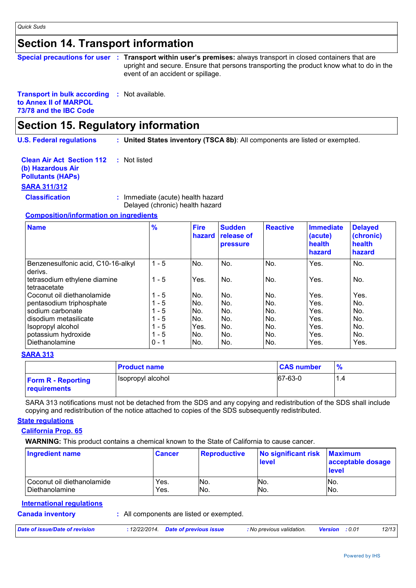# **Section 14. Transport information**

|  | Special precautions for user : Transport within user's premises: always transport in closed containers that are              |
|--|------------------------------------------------------------------------------------------------------------------------------|
|  | upright and secure. Ensure that persons transporting the product know what to do in the<br>event of an accident or spillage. |
|  |                                                                                                                              |

#### **Transport in bulk according :** Not available. **to Annex II of MARPOL 73/78 and the IBC Code**

# **Section 15. Regulatory information**

**U.S. Federal regulations : United States inventory (TSCA 8b)**: All components are listed or exempted.

| <b>Clean Air Act Section 112 : Not listed</b><br>(b) Hazardous Air |                                                                      |
|--------------------------------------------------------------------|----------------------------------------------------------------------|
| <b>Pollutants (HAPs)</b>                                           |                                                                      |
| <u>SARA 311/312</u>                                                |                                                                      |
| <b>Classification</b>                                              | : Immediate (acute) health hazard<br>Delayed (chronic) health hazard |

## **Composition/information on ingredients**

| <b>Name</b>                                   | $\frac{9}{6}$ | <b>Fire</b><br>hazard | <b>Sudden</b><br>release of<br>pressure | <b>Reactive</b> | <b>Immediate</b><br>(acute)<br>health<br>hazard | <b>Delayed</b><br>(chronic)<br>health<br>hazard |
|-----------------------------------------------|---------------|-----------------------|-----------------------------------------|-----------------|-------------------------------------------------|-------------------------------------------------|
| Benzenesulfonic acid, C10-16-alkyl<br>derivs. | $1 - 5$       | No.                   | No.                                     | No.             | Yes.                                            | No.                                             |
| tetrasodium ethylene diamine<br>tetraacetate  | $1 - 5$       | Yes.                  | No.                                     | No.             | Yes.                                            | No.                                             |
| Coconut oil diethanolamide                    | $1 - 5$       | No.                   | No.                                     | No.             | Yes.                                            | Yes.                                            |
| pentasodium triphosphate                      | $1 - 5$       | No.                   | No.                                     | No.             | Yes.                                            | No.                                             |
| sodium carbonate                              | $1 - 5$       | No.                   | No.                                     | No.             | Yes.                                            | No.                                             |
| disodium metasilicate                         | $1 - 5$       | No.                   | No.                                     | No.             | Yes.                                            | No.                                             |
| Isopropyl alcohol                             | $1 - 5$       | Yes.                  | No.                                     | No.             | Yes.                                            | No.                                             |
| potassium hydroxide                           | $1 - 5$       | No.                   | No.                                     | No.             | Yes.                                            | No.                                             |
| Diethanolamine                                | $0 - 1$       | No.                   | No.                                     | No.             | Yes.                                            | Yes.                                            |

### **SARA 313**

|                                           | <b>Product name</b> | <b>CAS number</b> | $\frac{9}{6}$ |
|-------------------------------------------|---------------------|-------------------|---------------|
| <b>Form R - Reporting</b><br>requirements | Isopropyl alcohol   | 67-63-0           | 1.4           |

SARA 313 notifications must not be detached from the SDS and any copying and redistribution of the SDS shall include copying and redistribution of the notice attached to copies of the SDS subsequently redistributed.

### **State regulations**

### **California Prop. 65**

**WARNING:** This product contains a chemical known to the State of California to cause cancer.

| Ingredient name            | <b>Cancer</b> | <b>Reproductive</b> | No significant risk<br><b>level</b> | <b>Maximum</b><br>acceptable dosage<br>level |
|----------------------------|---------------|---------------------|-------------------------------------|----------------------------------------------|
| Coconut oil diethanolamide | Yes.          | No.                 | NO.                                 | 'No.                                         |
| Diethanolamine             | Yes.          | No.                 | No.                                 | IN <sub>o</sub>                              |

## **Canada inventory :** All components are listed or exempted. **International regulations** *Date of issue/Date of revision* **:** *12/22/2014. Date of previous issue : No previous validation. Version : 0.01 12/13*